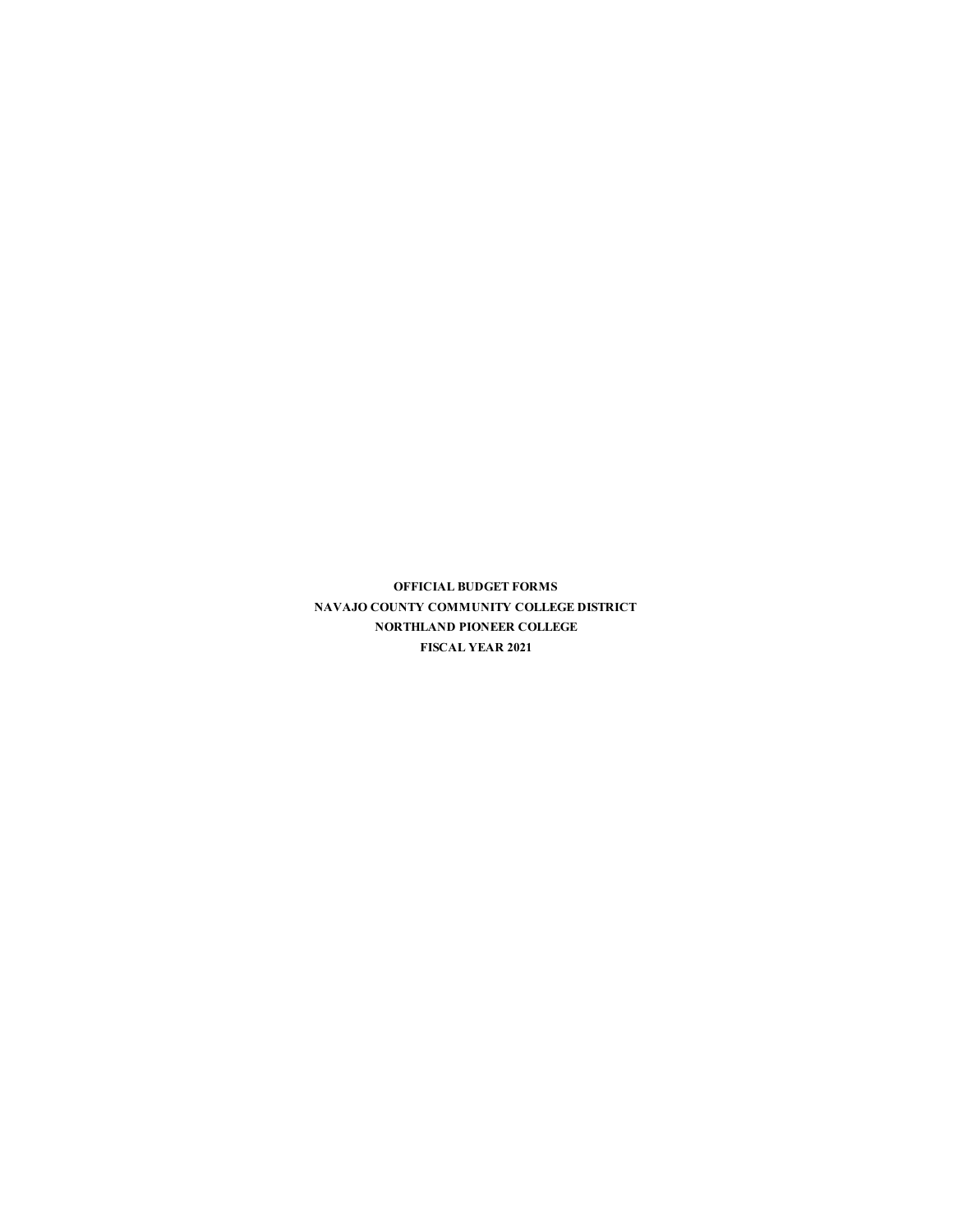**OFFICIAL BUDGET FORMS NAVAJO COUNTY COMMUNITY COLLEGE DISTRICT NORTHLAND PIONEER COLLEGE FISCAL YEAR 2021**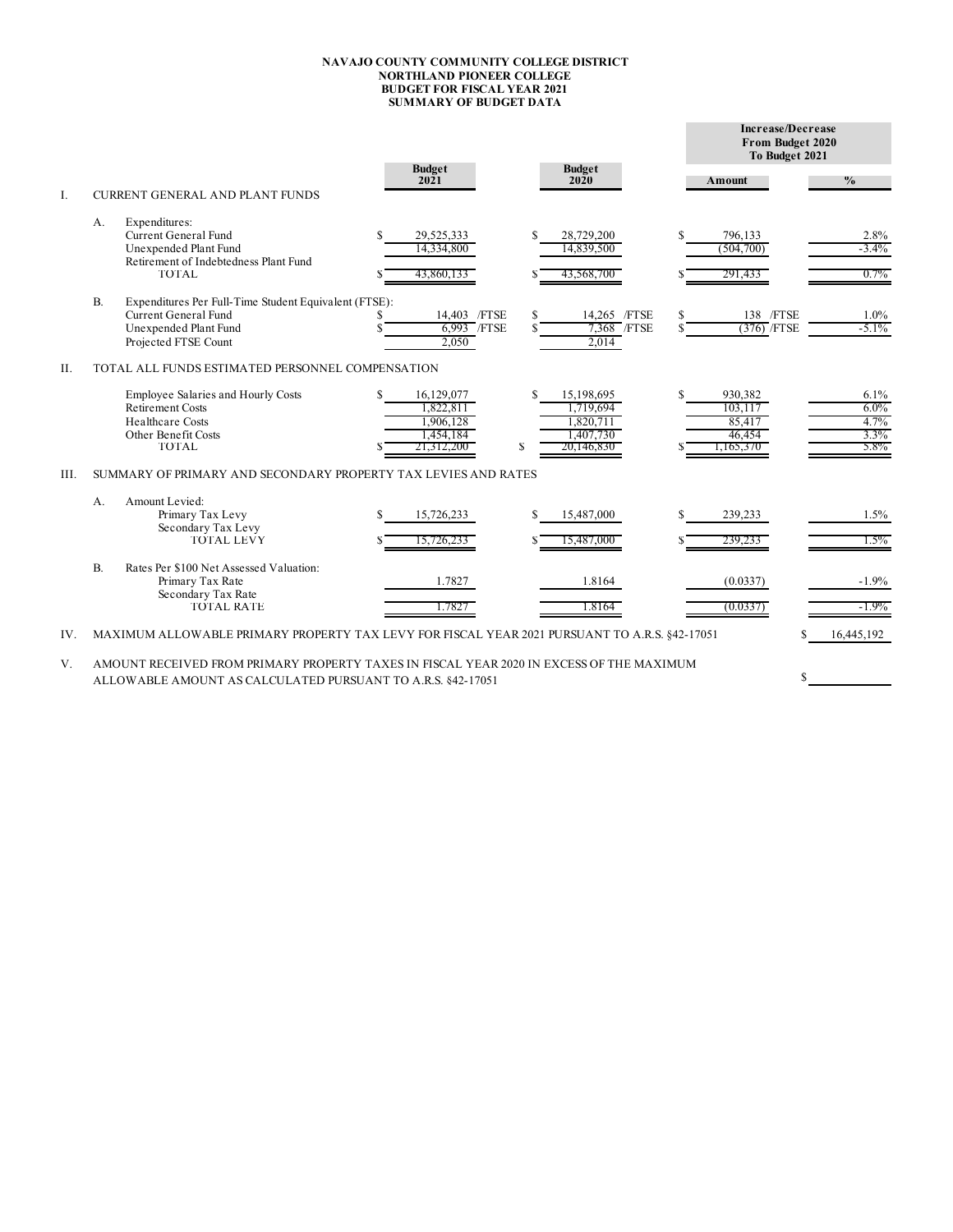## **NAVAJO COUNTY COMMUNITY COLLEGE DISTRICT NORTHLAND PIONEER COLLEGE BUDGET FOR FISCAL YEAR 2021 SUMMARY OF BUDGET DATA**

|     |           |                                                                                                                                                         |     |                                                                 |          |                                                                 |   | Increase/Decrease<br>From Budget 2020<br>To Budget 2021 |   |                                            |
|-----|-----------|---------------------------------------------------------------------------------------------------------------------------------------------------------|-----|-----------------------------------------------------------------|----------|-----------------------------------------------------------------|---|---------------------------------------------------------|---|--------------------------------------------|
|     |           |                                                                                                                                                         |     | <b>Budget</b><br>2021                                           |          | <b>Budget</b><br>2020                                           |   | Amount                                                  |   | $\frac{0}{0}$                              |
| I.  |           | <b>CURRENT GENERAL AND PLANT FUNDS</b>                                                                                                                  |     |                                                                 |          |                                                                 |   |                                                         |   |                                            |
|     | А.        | Expenditures:<br>Current General Fund<br>Unexpended Plant Fund<br>Retirement of Indebtedness Plant Fund<br><b>TOTAL</b>                                 | S   | 29,525,333<br>14,334,800<br>43,860,133                          | S        | 28,729,200<br>14,839,500<br>43,568,700                          |   | 796,133<br>(504,700)<br>291,433                         |   | 2.8%<br>$-3.4\%$<br>$0.7\%$                |
|     | <b>B.</b> | Expenditures Per Full-Time Student Equivalent (FTSE):<br>Current General Fund<br>Unexpended Plant Fund<br>Projected FTSE Count                          |     | 14.403 / FTSE<br>6,993 / FTSE<br>2,050                          | \$.      | 14.265 /FTSE<br>7,368 / FTSE<br>2,014                           |   | 138 / FTSE<br>$(376)$ /FTSE                             |   | 1.0%<br>$-5.1\%$                           |
| Η.  |           | TOTAL ALL FUNDS ESTIMATED PERSONNEL COMPENSATION                                                                                                        |     |                                                                 |          |                                                                 |   |                                                         |   |                                            |
|     |           | Employee Salaries and Hourly Costs<br><b>Retirement Costs</b><br><b>Healthcare Costs</b><br>Other Benefit Costs<br><b>TOTAL</b>                         | S   | 16,129,077<br>1,822,811<br>1,906,128<br>1,454,184<br>21.312.200 | \$.<br>S | 15,198,695<br>1.719.694<br>1,820,711<br>1,407,730<br>20,146,830 | S | 930.382<br>103.117<br>85,417<br>46,454<br>1,165,370     |   | 6.1%<br>$6.0\%$<br>4.7%<br>$3.3\%$<br>5.8% |
| Ш.  |           | SUMMARY OF PRIMARY AND SECONDARY PROPERTY TAX LEVIES AND RATES                                                                                          |     |                                                                 |          |                                                                 |   |                                                         |   |                                            |
|     | $A$ .     | Amount Levied:<br>Primary Tax Levy<br>Secondary Tax Levy<br><b>TOTAL LEVY</b>                                                                           | \$. | 15,726,233<br>15,726,233                                        | S        | 15,487,000<br>15,487,000                                        | S | 239,233<br>239,233                                      |   | 1.5%<br>$1.5\%$                            |
|     | $B$ .     | Rates Per \$100 Net Assessed Valuation:<br>Primary Tax Rate<br>Secondary Tax Rate<br><b>TOTAL RATE</b>                                                  |     | 1.7827<br>1.7827                                                |          | 1.8164<br>1.8164                                                |   | (0.0337)<br>(0.0337)                                    |   | $-1.9%$<br>-1.9%                           |
| IV. |           | MAXIMUM ALLOWABLE PRIMARY PROPERTY TAX LEVY FOR FISCAL YEAR 2021 PURSUANT TO A.R.S. §42-17051                                                           |     |                                                                 |          |                                                                 |   |                                                         |   | 16,445,192                                 |
| V.  |           | AMOUNT RECEIVED FROM PRIMARY PROPERTY TAXES IN FISCAL YEAR 2020 IN EXCESS OF THE MAXIMUM<br>ALLOWABLE AMOUNT AS CALCULATED PURSUANT TO A.R.S. 842-17051 |     |                                                                 |          |                                                                 |   |                                                         | S |                                            |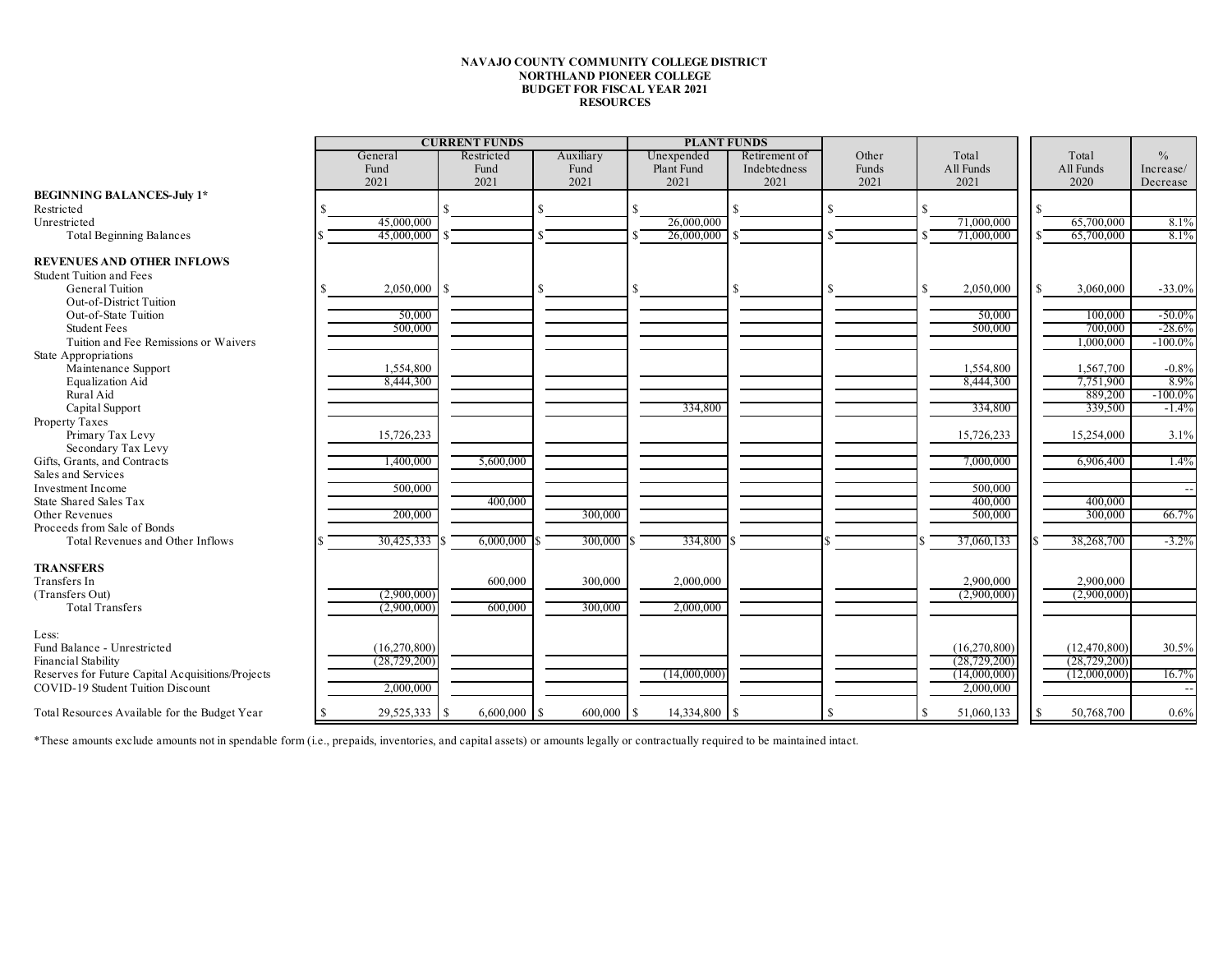## **NAVAJO COUNTY COMMUNITY COLLEGE DISTRICT NORTHLAND PIONEER COLLEGE BUDGET FOR FISCAL YEAR 2021 RESOURCES**

|                                                   |                                  | <b>CURRENT FUNDS</b> |                   | <b>PLANT FUNDS</b>       |                               |                |                    |                    |                |                            |
|---------------------------------------------------|----------------------------------|----------------------|-------------------|--------------------------|-------------------------------|----------------|--------------------|--------------------|----------------|----------------------------|
|                                                   | General<br>Fund                  | Restricted<br>Fund   | Auxiliary<br>Fund | Unexpended<br>Plant Fund | Retirement of<br>Indebtedness | Other<br>Funds | Total<br>All Funds | Total<br>All Funds |                | $\frac{0}{0}$<br>Increase/ |
|                                                   | 2021                             | 2021                 | 2021              | 2021                     | 2021                          | 2021           | 2021               |                    | 2020           | Decrease                   |
| <b>BEGINNING BALANCES-July 1*</b>                 |                                  |                      |                   |                          |                               |                |                    |                    |                |                            |
| Restricted                                        |                                  |                      | S.                |                          |                               |                |                    |                    |                |                            |
| Unrestricted                                      | 45,000,000                       |                      |                   | 26,000,000               |                               |                | 71,000,000         |                    | 65,700,000     | 8.1%                       |
| <b>Total Beginning Balances</b>                   | 45,000,000                       |                      |                   | 26,000,000               |                               |                | 71,000,000         |                    | 65,700,000     | 8.1%                       |
| <b>REVENUES AND OTHER INFLOWS</b>                 |                                  |                      |                   |                          |                               |                |                    |                    |                |                            |
| <b>Student Tuition and Fees</b>                   |                                  |                      |                   |                          |                               |                |                    |                    |                |                            |
| General Tuition                                   | 2,050,000<br>\$.                 | S                    | S.                |                          |                               |                | 2,050,000<br>£.    |                    | 3,060,000      | $-33.0%$                   |
| Out-of-District Tuition                           |                                  |                      |                   |                          |                               |                |                    |                    |                |                            |
| Out-of-State Tuition                              | 50,000                           |                      |                   |                          |                               |                | 50,000             |                    | 100,000        | $-50.0%$                   |
| <b>Student Fees</b>                               | 500,000                          |                      |                   |                          |                               |                | 500,000            |                    | 700,000        | $-28.6%$                   |
| Tuition and Fee Remissions or Waivers             |                                  |                      |                   |                          |                               |                |                    |                    | 1,000,000      | $-100.0%$                  |
| State Appropriations                              |                                  |                      |                   |                          |                               |                |                    |                    |                |                            |
| Maintenance Support                               | 1,554,800                        |                      |                   |                          |                               |                | 1,554,800          |                    | 1,567,700      | $-0.8%$                    |
| Equalization Aid                                  | 8,444,300                        |                      |                   |                          |                               |                | 8,444,300          |                    | 7,751,900      | 8.9%                       |
| Rural Aid                                         |                                  |                      |                   |                          |                               |                |                    |                    | 889,200        | $-100.0\%$                 |
| Capital Support                                   |                                  |                      |                   | 334,800                  |                               |                | 334,800            |                    | 339,500        | $-1.4%$                    |
| Property Taxes                                    |                                  |                      |                   |                          |                               |                |                    |                    |                |                            |
| Primary Tax Levy                                  | 15,726,233                       |                      |                   |                          |                               |                | 15,726,233         |                    | 15,254,000     | 3.1%                       |
| Secondary Tax Levy                                |                                  |                      |                   |                          |                               |                |                    |                    |                |                            |
| Gifts, Grants, and Contracts                      | 1,400,000                        | 5,600,000            |                   |                          |                               |                | 7,000,000          |                    | 6,906,400      | 1.4%                       |
| Sales and Services                                |                                  |                      |                   |                          |                               |                |                    |                    |                |                            |
| <b>Investment Income</b>                          | 500,000                          |                      |                   |                          |                               |                | 500,000            |                    |                |                            |
| State Shared Sales Tax                            |                                  | 400,000              |                   |                          |                               |                | 400,000            |                    | 400,000        |                            |
| Other Revenues                                    | 200,000                          |                      | 300,000           |                          |                               |                | 500,000            |                    | 300,000        | 66.7%                      |
| Proceeds from Sale of Bonds                       |                                  |                      |                   |                          |                               |                |                    |                    |                |                            |
| Total Revenues and Other Inflows                  | 30,425,333                       | 6,000,000            | 300,000 \$        | 334,800                  |                               |                | 37,060,133         |                    | 38,268,700     | $-3.2%$                    |
|                                                   |                                  |                      |                   |                          |                               |                |                    |                    |                |                            |
| <b>TRANSFERS</b>                                  |                                  |                      |                   |                          |                               |                |                    |                    |                |                            |
| Transfers In                                      |                                  | 600,000              | 300,000           | 2,000,000                |                               |                | 2,900,000          |                    | 2,900,000      |                            |
| (Transfers Out)                                   | (2,900,000)                      |                      |                   |                          |                               |                | (2,900,000)        |                    | (2,900,000)    |                            |
| <b>Total Transfers</b>                            | (2,900,000)                      | 600,000              | 300,000           | 2,000,000                |                               |                |                    |                    |                |                            |
| Less:                                             |                                  |                      |                   |                          |                               |                |                    |                    |                |                            |
| Fund Balance - Unrestricted                       | (16,270,800)                     |                      |                   |                          |                               |                | (16,270,800)       |                    | (12, 470, 800) | 30.5%                      |
| Financial Stability                               | (28, 729, 200)                   |                      |                   |                          |                               |                | (28, 729, 200)     |                    | (28, 729, 200) |                            |
| Reserves for Future Capital Acquisitions/Projects |                                  |                      |                   | (14,000,000)             |                               |                | (14,000,000)       |                    | (12,000,000)   | 16.7%                      |
| <b>COVID-19 Student Tuition Discount</b>          | 2,000,000                        |                      |                   |                          |                               |                | 2,000,000          |                    |                |                            |
|                                                   |                                  |                      |                   |                          |                               |                |                    |                    |                |                            |
| Total Resources Available for the Budget Year     | $29,525,333$ \$<br><sup>\$</sup> | $6,600,000$ \$       | 600,000 \$        | 14,334,800 \$            |                               |                | 51,060,133<br>£.   |                    | 50,768,700     | 0.6%                       |

\*These amounts exclude amounts not in spendable form (i.e., prepaids, inventories, and capital assets) or amounts legally or contractually required to be maintained intact.